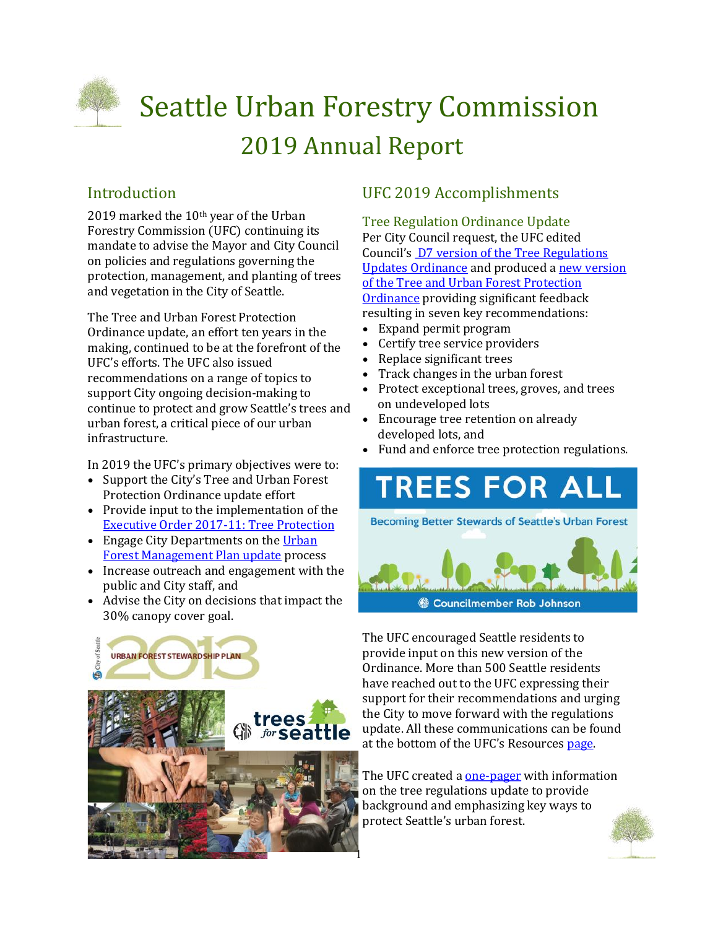

# Seattle Urban Forestry Commission 2019 Annual Report

## Introduction

2019 marked the 10th year of the Urban Forestry Commission (UFC) continuing its mandate to advise the Mayor and City Council on policies and regulations governing the protection, management, and planting of trees and vegetation in the City of Seattle.

The Tree and Urban Forest Protection Ordinance update, an effort ten years in the making, continued to be at the forefront of the UFC's efforts. The UFC also issued recommendations on a range of topics to support City ongoing decision-making to continue to protect and grow Seattle's trees and urban forest, a critical piece of our urban infrastructure.

In 2019 the UFC's primary objectives were to:

- Support the City's Tree and Urban Forest Protection Ordinance update effort
- Provide input to the implementation of the [Executive Order 2017](http://www.seattle.gov/Documents/Departments/UrbanForestryCommission/2018/2018docs/TreeExecOrder2017-11FINAL.pdf)-11: Tree Protection
- Engage City Departments on the Urban [Forest Management Plan update](http://www.seattle.gov/trees/management) process
- Increase outreach and engagement with the public and City staff, and
- Advise the City on decisions that impact the 30% canopy cover goal.



## UFC 2019 Accomplishments

Tree Regulation Ordinance Update Per City Council request, the UFC edited Council's [D7 version of the Tree Regulations](http://www.seattle.gov/Documents/Departments/UrbanForestryCommission/2018/2018docs/DRAFTTreeRegulationUpdatesORD-D7.pdf)  [Updates Ordinance](http://www.seattle.gov/Documents/Departments/UrbanForestryCommission/2018/2018docs/DRAFTTreeRegulationUpdatesORD-D7.pdf) and produced a [new version](http://www.seattle.gov/Documents/Departments/UrbanForestryCommission/Waht%20we%20do%20-%20Recomms/OutlineandDraftUFCTreeAndUrbanForestProtectionOrdinance070219FullDocCorrected.pdf)  [of the Tree and Urban Forest Protection](http://www.seattle.gov/Documents/Departments/UrbanForestryCommission/Waht%20we%20do%20-%20Recomms/OutlineandDraftUFCTreeAndUrbanForestProtectionOrdinance070219FullDocCorrected.pdf)  [Ordinance](http://www.seattle.gov/Documents/Departments/UrbanForestryCommission/Waht%20we%20do%20-%20Recomms/OutlineandDraftUFCTreeAndUrbanForestProtectionOrdinance070219FullDocCorrected.pdf) providing significant feedback resulting in seven key recommendations:

- Expand permit program
- Certify tree service providers
- Replace significant trees
- Track changes in the urban forest
- Protect exceptional trees, groves, and trees on undeveloped lots
- Encourage tree retention on already developed lots, and
- Fund and enforce tree protection regulations.

## **TREES FOR** ALL **Becoming Better Stewards of Seattle's Urban Forest**



The UFC encouraged Seattle residents to provide input on this new version of the Ordinance. More than 500 Seattle residents have reached out to the UFC expressing their support for their recommendations and urging the City to move forward with the regulations update. All these communications can be found at the bottom of the UFC's Resources [page.](http://www.seattle.gov/urbanforestrycommission/resources)

The UFC created a one-[pager](http://www.seattle.gov/Documents/Departments/UrbanForestryCommission/Resources/ADOPTEDTPOUpdateOnePager100919.pdf) with information on the tree regulations update to provide background and emphasizing key ways to protect Seattle's urban forest.

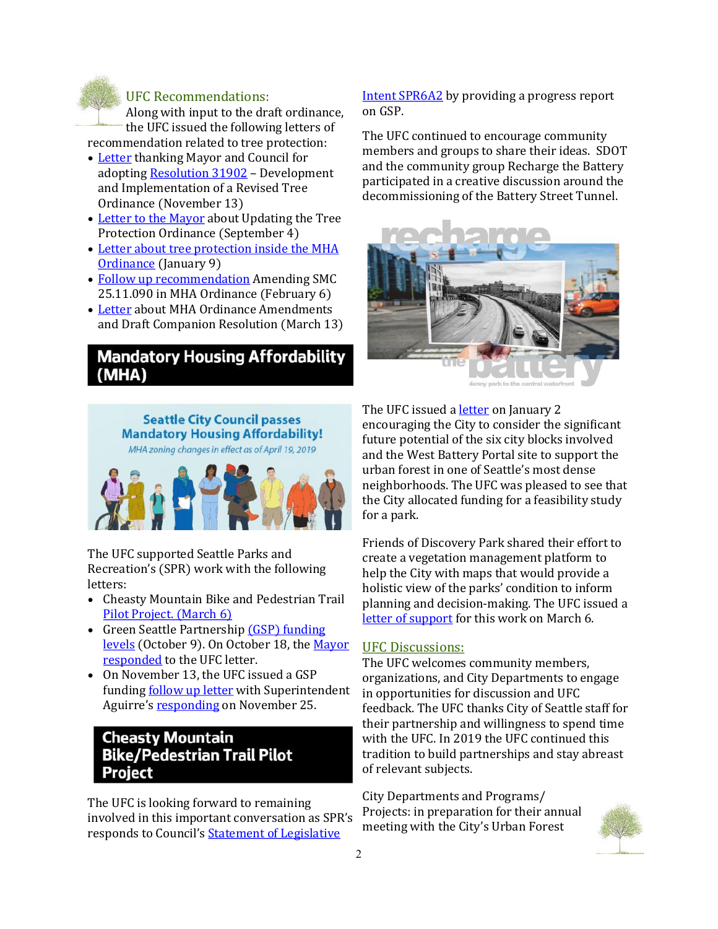

#### UFC Recommendations:

Along with input to the draft ordinance, the UFC issued the following letters of recommendation related to tree protection:

- [Letter](http://www.seattle.gov/Documents/Departments/UrbanForestryCommission/Waht%20we%20do%20-%20Recomms/ADOPTEDTreeOrd111319.pdf) thanking Mayor and Council for adopting [Resolution 31902](http://seattle.legistar.com/ViewReport.ashx?M=R&N=Text&GID=393&ID=3667453&GUID=8D207CD2-96FC-4B02-94AB-7832F169796D&Title=Legislation+Text) – Development and Implementation of a Revised Tree Ordinance (November 13)
- [Letter to the Mayor](http://www.seattle.gov/Documents/Departments/UrbanForestryCommission/FinalIssuedDocuments/Recommendations/ADOPTEDSDCItreeRegsUpdate090419.pdf) about Updating the Tree Protection Ordinance (September 4)
- [Letter about tree protection inside the MHA](http://www.seattle.gov/Documents/Departments/UrbanForestryCommission/FinalIssuedDocuments/Recommendations/ADOPTEDMHAOrdinanceSMC25.11.090Jan2019.pdf)  [Ordinance](http://www.seattle.gov/Documents/Departments/UrbanForestryCommission/FinalIssuedDocuments/Recommendations/ADOPTEDMHAOrdinanceSMC25.11.090Jan2019.pdf) (January 9)
- [Follow up recommendation](http://www.seattle.gov/Documents/Departments/UrbanForestryCommission/FinalIssuedDocuments/Recommendations/ADOPTEDMHAFollowUpSMC25.11.090-020619.pdf) Amending SMC 25.11.090 in MHA Ordinance (February 6)
- [Letter](http://www.seattle.gov/Documents/Departments/UrbanForestryCommission/FinalIssuedDocuments/Recommendations/ADOPTED-MHA-Amendments031319.pdf) about MHA Ordinance Amendments and Draft Companion Resolution (March 13)

## **Mandatory Housing Affordability** (MHA)



The UFC supported Seattle Parks and Recreation's (SPR) work with the following letters:

- Cheasty Mountain Bike and Pedestrian Trail [Pilot Project.](http://www.seattle.gov/Documents/Departments/UrbanForestryCommission/FinalIssuedDocuments/Recommendations/ADOPTEDUFCCheastyRecommendation030619.pdf) (March 6)
- Green Seattle Partnership *(GSP)* funding [levels](http://www.seattle.gov/Documents/Departments/UrbanForestryCommission/Waht%20we%20do%20-%20Recomms/ADOPTEDGSPfunding100919.pdf) (October 9). On October 18, the [Mayor](http://www.seattle.gov/Documents/Departments/UrbanForestryCommission/FinalIssuedDocuments/Recommendations/10.18.19UFCgspBudgetLetterMayorResponse.pdf)  [responded](http://www.seattle.gov/Documents/Departments/UrbanForestryCommission/FinalIssuedDocuments/Recommendations/10.18.19UFCgspBudgetLetterMayorResponse.pdf) to the UFC letter.
- On November 13, the UFC issued a GSP funding [follow up letter](http://www.seattle.gov/Documents/Departments/UrbanForestryCommission/Waht%20we%20do%20-%20Recomms/ADOPTEDGSP2019-20Budget111319corrected.pdf) with Superintendent Aguirre's [responding](http://www.seattle.gov/Documents/Departments/UrbanForestryCommission/Waht%20we%20do%20-%20Recomms/SPRSuperintendentResponse112519.pdf) on November 25.

### **Cheasty Mountain Bike/Pedestrian Trail Pilot Project**

The UFC is looking forward to remaining involved in this important conversation as SPR's responds to Council's [Statement of Legislative](http://www.seattle.gov/Documents/Departments/UrbanForestryCommission/2019/2019docs/2020-GSP-SLI6A2.pdf) 

[Intent SPR6A2](http://www.seattle.gov/Documents/Departments/UrbanForestryCommission/2019/2019docs/2020-GSP-SLI6A2.pdf) by providing a progress report on GSP.

The UFC continued to encourage community members and groups to share their ideas. SDOT and the community group Recharge the Battery participated in a creative discussion around the decommissioning of the Battery Street Tunnel.



The UFC issued a [letter](http://www.seattle.gov/Documents/Departments/UrbanForestryCommission/FinalIssuedDocuments/Recommendations/AdoptedBatteryStreetTunnelLetter010919.pdf) on January 2 encouraging the City to consider the significant future potential of the six city blocks involved and the West Battery Portal site to support the urban forest in one of Seattle's most dense neighborhoods. The UFC was pleased to see that the City allocated funding for a feasibility study for a park.

Friends of Discovery Park shared their effort to create a vegetation management platform to help the City with maps that would provide a holistic view of the parks' condition to inform planning and decision-making. The UFC issued a [letter of support](http://www.seattle.gov/Documents/Departments/UrbanForestryCommission/FinalIssuedDocuments/Recommendations/ADOPTEDVMPDiscoveryPark030619.pdf) for this work on March 6.

#### UFC Discussions:

The UFC welcomes community members, organizations, and City Departments to engage in opportunities for discussion and UFC feedback. The UFC thanks City of Seattle staff for their partnership and willingness to spend time with the UFC. In 2019 the UFC continued this tradition to build partnerships and stay abreast of relevant subjects.

City Departments and Programs/ Projects: in preparation for their annual meeting with the City's Urban Forest

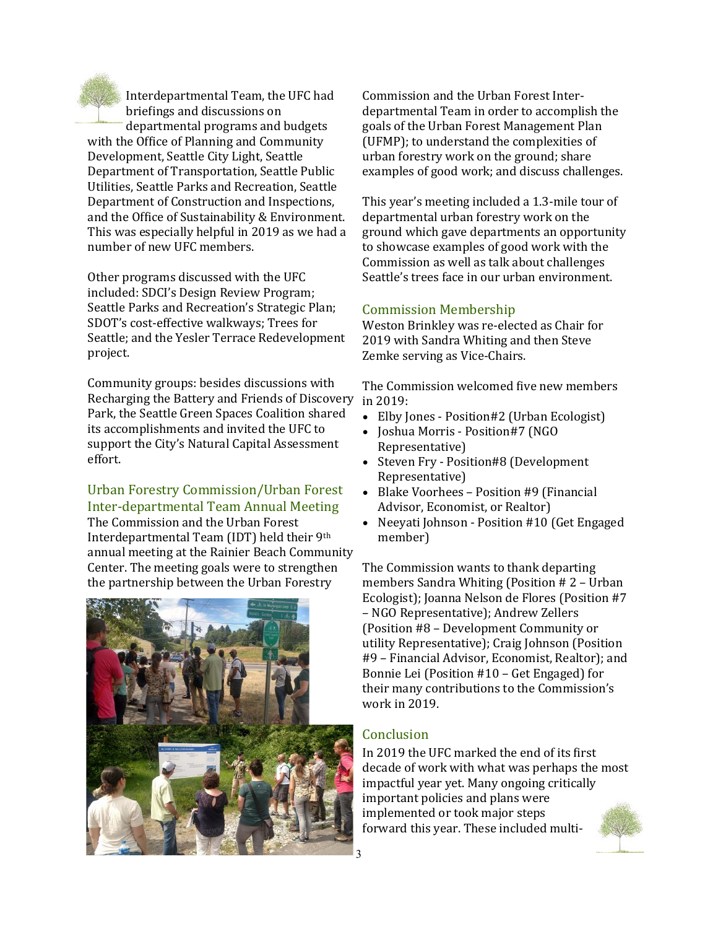

Interdepartmental Team, the UFC had briefings and discussions on departmental programs and budgets with the Office of Planning and Community Development, Seattle City Light, Seattle Department of Transportation, Seattle Public Utilities, Seattle Parks and Recreation, Seattle Department of Construction and Inspections, and the Office of Sustainability & Environment. This was especially helpful in 2019 as we had a

Other programs discussed with the UFC included: SDCI's Design Review Program; Seattle Parks and Recreation's Strategic Plan; SDOT's cost-effective walkways; Trees for Seattle; and the Yesler Terrace Redevelopment project.

number of new UFC members.

Community groups: besides discussions with Recharging the Battery and Friends of Discovery Park, the Seattle Green Spaces Coalition shared its accomplishments and invited the UFC to support the City's Natural Capital Assessment effort.

Urban Forestry Commission/Urban Forest Inter-departmental Team Annual Meeting The Commission and the Urban Forest

Interdepartmental Team (IDT) held their 9th annual meeting at the Rainier Beach Community Center. The meeting goals were to strengthen the partnership between the Urban Forestry



Commission and the Urban Forest Interdepartmental Team in order to accomplish the goals of the Urban Forest Management Plan (UFMP); to understand the complexities of urban forestry work on the ground; share examples of good work; and discuss challenges.

This year's meeting included a 1.3-mile tour of departmental urban forestry work on the ground which gave departments an opportunity to showcase examples of good work with the Commission as well as talk about challenges Seattle's trees face in our urban environment.

#### Commission Membership

Weston Brinkley was re-elected as Chair for 2019 with Sandra Whiting and then Steve Zemke serving as Vice-Chairs.

The Commission welcomed five new members in 2019:

- Elby Jones Position#2 (Urban Ecologist)
- Joshua Morris Position#7 (NGO Representative)
- Steven Fry Position#8 (Development Representative)
- Blake Voorhees Position #9 (Financial Advisor, Economist, or Realtor)
- Neeyati Johnson Position #10 (Get Engaged member)

The Commission wants to thank departing members Sandra Whiting (Position # 2 – Urban Ecologist); Joanna Nelson de Flores (Position #7 – NGO Representative); Andrew Zellers (Position #8 – Development Community or utility Representative); Craig Johnson (Position #9 – Financial Advisor, Economist, Realtor); and Bonnie Lei (Position #10 – Get Engaged) for their many contributions to the Commission's work in 2019.

#### **Conclusion**

In 2019 the UFC marked the end of its first decade of work with what was perhaps the most impactful year yet. Many ongoing critically important policies and plans were implemented or took major steps forward this year. These included multi-